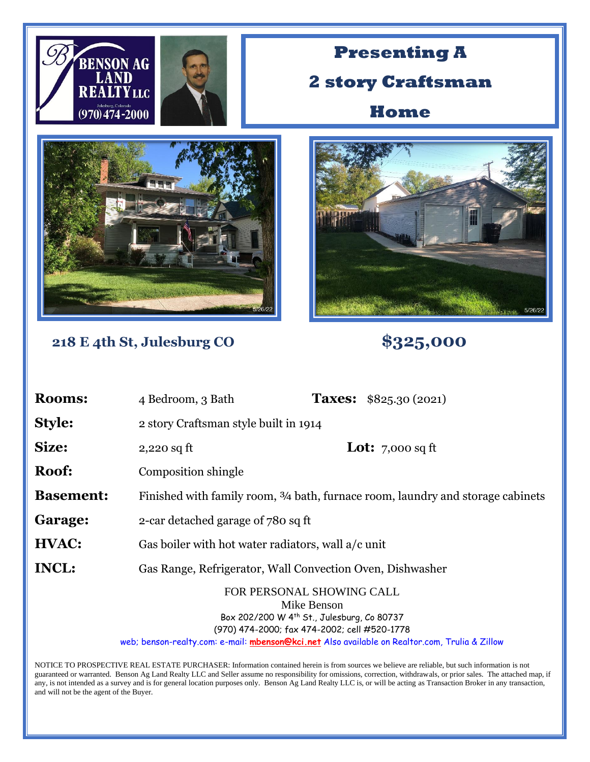| <b>BENSON AG</b><br>$(970)474 - 2000$ | <b>LTYLLC</b>                                                                   | <b>Presenting A</b><br><b>2 story Craftsman</b><br>Home                                                                                                                                                                                  |
|---------------------------------------|---------------------------------------------------------------------------------|------------------------------------------------------------------------------------------------------------------------------------------------------------------------------------------------------------------------------------------|
|                                       |                                                                                 |                                                                                                                                                                                                                                          |
|                                       | 218 E 4th St, Julesburg CO                                                      | \$325,000                                                                                                                                                                                                                                |
| <b>Rooms:</b>                         | 4 Bedroom, 3 Bath                                                               | <b>Taxes:</b> \$825.30 (2021)                                                                                                                                                                                                            |
| <b>Style:</b>                         | 2 story Craftsman style built in 1914                                           |                                                                                                                                                                                                                                          |
| Size:                                 | $2,220$ sq ft                                                                   | <b>Lot:</b> 7,000 sq ft                                                                                                                                                                                                                  |
| Roof:                                 | Composition shingle                                                             |                                                                                                                                                                                                                                          |
| <b>Basement:</b>                      | Finished with family room, 3/4 bath, furnace room, laundry and storage cabinets |                                                                                                                                                                                                                                          |
| Garage:                               | 2-car detached garage of 780 sq ft                                              |                                                                                                                                                                                                                                          |
| HVAC:                                 | Gas boiler with hot water radiators, wall a/c unit                              |                                                                                                                                                                                                                                          |
| <b>INCL:</b>                          | Gas Range, Refrigerator, Wall Convection Oven, Dishwasher                       |                                                                                                                                                                                                                                          |
|                                       |                                                                                 | FOR PERSONAL SHOWING CALL<br>Mike Benson<br>Box 202/200 W 4th St., Julesburg, Co 80737<br>(970) 474-2000; fax 474-2002; cell #520-1778<br>web; benson-realty.com: e-mail: mbenson@kci.net Also available on Realtor.com, Trulia & Zillow |

NOTICE TO PROSPECTIVE REAL ESTATE PURCHASER: Information contained herein is from sources we believe are reliable, but such information is not guaranteed or warranted. Benson Ag Land Realty LLC and Seller assume no responsibility for omissions, correction, withdrawals, or prior sales. The attached map, if any, is not intended as a survey and is for general location purposes only. Benson Ag Land Realty LLC is, or will be acting as Transaction Broker in any transaction, and will not be the agent of the Buyer.